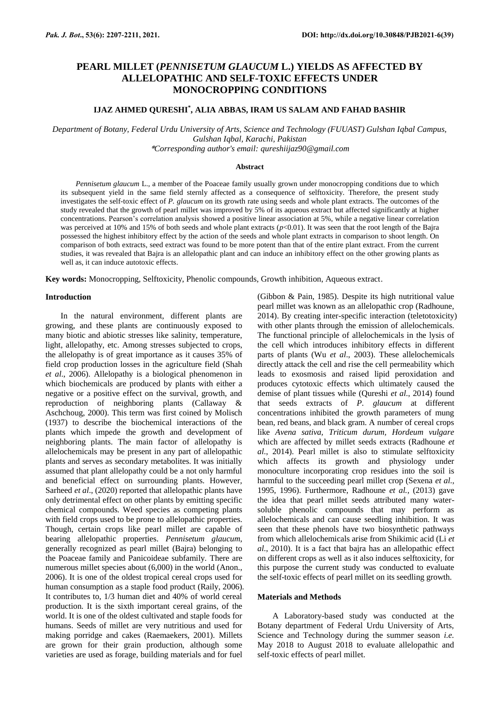# **PEARL MILLET (***PENNISETUM GLAUCUM* **L.) YIELDS AS AFFECTED BY ALLELOPATHIC AND SELF-TOXIC EFFECTS UNDER MONOCROPPING CONDITIONS**

# **IJAZ AHMED QURESHI\* , ALIA ABBAS, IRAM US SALAM AND FAHAD BASHIR**

*Department of Botany, Federal Urdu University of Arts, Science and Technology (FUUAST) Gulshan Iqbal Campus, Gulshan Iqbal, Karachi, Pakistan* \**Corresponding author's email: qureshiijaz90@gmail.com*

# **Abstract**

*Pennisetum glaucum* L., a member of the Poaceae family usually grown under monocropping conditions due to which its subsequent yield in the same field sternly affected as a consequence of selftoxicity. Therefore, the present study investigates the self-toxic effect of *P. glaucum* on its growth rate using seeds and whole plant extracts. The outcomes of the study revealed that the growth of pearl millet was improved by 5% of its aqueous extract but affected significantly at higher concentrations. Pearson's correlation analysis showed a positive linear association at 5%, while a negative linear correlation was perceived at 10% and 15% of both seeds and whole plant extracts  $(p<0.01)$ . It was seen that the root length of the Bajra possessed the highest inhibitory effect by the action of the seeds and whole plant extracts in comparison to shoot length. On comparison of both extracts, seed extract was found to be more potent than that of the entire plant extract. From the current studies, it was revealed that Bajra is an allelopathic plant and can induce an inhibitory effect on the other growing plants as well as, it can induce autotoxic effects.

**Key words:** Monocropping, Selftoxicity, Phenolic compounds, Growth inhibition, Aqueous extract.

#### **Introduction**

In the natural environment, different plants are growing, and these plants are continuously exposed to many biotic and abiotic stresses like salinity, temperature, light, allelopathy, etc. Among stresses subjected to crops, the allelopathy is of great importance as it causes 35% of field crop production losses in the agriculture field (Shah *et al*., 2006). Allelopathy is a biological phenomenon in which biochemicals are produced by plants with either a negative or a positive effect on the survival, growth, and<br>reproduction of neighboring plants (Callaway & reproduction of neighboring plants (Callaway Aschchoug, 2000). This term was first coined by Molisch (1937) to describe the biochemical interactions of the plants which impede the growth and development of neighboring plants. The main factor of allelopathy is allelochemicals may be present in any part of allelopathic plants and serves as secondary metabolites. It was initially assumed that plant allelopathy could be a not only harmful and beneficial effect on surrounding plants. However, Sarheed *et al*., (2020) reported that allelopathic plants have only detrimental effect on other plants by emitting specific chemical compounds. Weed species as competing plants with field crops used to be prone to allelopathic properties. Though, certain crops like pearl millet are capable of bearing allelopathic properties. *Pennisetum glaucum*, generally recognized as pearl millet (Bajra) belonging to the Poaceae family and Panicoideae subfamily. There are numerous millet species about (6,000) in the world (Anon., 2006). It is one of the oldest tropical cereal crops used for human consumption as a staple food product (Raily, 2006). It contributes to, 1/3 human diet and 40% of world cereal production. It is the sixth important cereal grains, of the world. It is one of the oldest cultivated and staple foods for humans. Seeds of millet are very nutritious and used for making porridge and cakes (Raemaekers, 2001). Millets are grown for their grain production, although some varieties are used as forage, building materials and for fuel

(Gibbon & Pain, 1985). Despite its high nutritional value pearl millet was known as an allelopathic crop (Radhoune, 2014). By creating inter-specific interaction (teletotoxicity) with other plants through the emission of allelochemicals. The functional principle of allelochemicals in the lysis of the cell which introduces inhibitory effects in different parts of plants (Wu *et al*., 2003). These allelochemicals directly attack the cell and rise the cell permeability which leads to exosmosis and raised lipid peroxidation and produces cytotoxic effects which ultimately caused the demise of plant tissues while (Qureshi *et al*., 2014) found that seeds extracts of *P. glaucum* at different concentrations inhibited the growth parameters of mung bean, red beans, and black gram. A number of cereal crops like *Avena sativa, Triticum durum, Hordeum vulgare* which are affected by millet seeds extracts (Radhoune *et al*., 2014). Pearl millet is also to stimulate selftoxicity which affects its growth and physiology under monoculture incorporating crop residues into the soil is harmful to the succeeding pearl millet crop (Sexena *et al*., 1995, 1996). Furthermore, Radhoune *et al.*, (2013) gave the idea that pearl millet seeds attributed many watersoluble phenolic compounds that may perform as allelochemicals and can cause seedling inhibition. It was seen that these phenols have two biosynthetic pathways from which allelochemicals arise from Shikimic acid (Li *et al*., 2010). It is a fact that bajra has an allelopathic effect on different crops as well as it also induces selftoxicity, for this purpose the current study was conducted to evaluate the self-toxic effects of pearl millet on its seedling growth.

### **Materials and Methods**

A Laboratory-based study was conducted at the Botany department of Federal Urdu University of Arts, Science and Technology during the summer season *i.e.* May 2018 to August 2018 to evaluate allelopathic and self-toxic effects of pearl millet.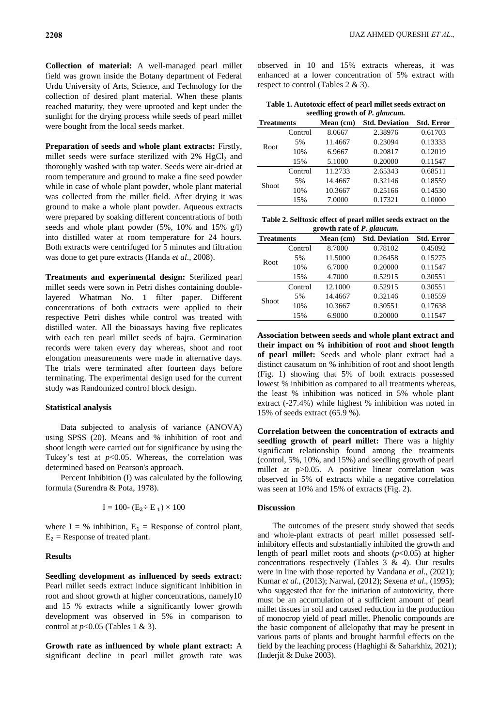**Collection of material:** A well-managed pearl millet field was grown inside the Botany department of Federal Urdu University of Arts, Science, and Technology for the collection of desired plant material. When these plants reached maturity, they were uprooted and kept under the sunlight for the drying process while seeds of pearl millet were bought from the local seeds market.

**Preparation of seeds and whole plant extracts:** Firstly, millet seeds were surface sterilized with  $2\%$  HgCl<sub>2</sub> and thoroughly washed with tap water. Seeds were air-dried at room temperature and ground to make a fine seed powder while in case of whole plant powder, whole plant material was collected from the millet field. After drying it was ground to make a whole plant powder. Aqueous extracts were prepared by soaking different concentrations of both seeds and whole plant powder (5%, 10% and 15% g/l) into distilled water at room temperature for 24 hours. Both extracts were centrifuged for 5 minutes and filtration was done to get pure extracts (Handa *et al*., 2008).

**Treatments and experimental design:** Sterilized pearl millet seeds were sown in Petri dishes containing doublelayered Whatman No. 1 filter paper. Different concentrations of both extracts were applied to their respective Petri dishes while control was treated with distilled water. All the bioassays having five replicates with each ten pearl millet seeds of bajra. Germination records were taken every day whereas, shoot and root elongation measurements were made in alternative days. The trials were terminated after fourteen days before terminating. The experimental design used for the current study was Randomized control block design.

#### **Statistical analysis**

Data subjected to analysis of variance (ANOVA) using SPSS (20). Means and % inhibition of root and shoot length were carried out for significance by using the Tukey's test at  $p<0.05$ . Whereas, the correlation was determined based on Pearson's approach.

Percent Inhibition (I) was calculated by the following formula (Surendra & Pota, 1978).

$$
I = 100 - (E_2 \div E_1) \times 100
$$

where  $I = \%$  inhibition,  $E_1 =$  Response of control plant,  $E_2$  = Response of treated plant.

#### **Results**

**Seedling development as influenced by seeds extract:**  Pearl millet seeds extract induce significant inhibition in root and shoot growth at higher concentrations, namely10 and 15 % extracts while a significantly lower growth development was observed in 5% in comparison to control at *p*<0.05 (Tables 1 & 3).

**Growth rate as influenced by whole plant extract:** A significant decline in pearl millet growth rate was observed in 10 and 15% extracts whereas, it was enhanced at a lower concentration of 5% extract with respect to control (Tables 2 & 3).

| Table 1. Autotoxic effect of pearl millet seeds extract on |  |  |  |  |  |
|------------------------------------------------------------|--|--|--|--|--|
| seedling growth of P. glaucum.                             |  |  |  |  |  |

| <b>Treatments</b> |         | Mean (cm) | <b>Std. Deviation</b> | <b>Std. Error</b> |
|-------------------|---------|-----------|-----------------------|-------------------|
| Root              | Control | 8.0667    | 2.38976               | 0.61703           |
|                   | 5%      | 11.4667   | 0.23094               | 0.13333           |
|                   | 10%     | 6.9667    | 0.20817               | 0.12019           |
|                   | 15%     | 5.1000    | 0.20000               | 0.11547           |
| Shoot             | Control | 11.2733   | 2.65343               | 0.68511           |
|                   | 5%      | 14.4667   | 0.32146               | 0.18559           |
|                   | 10%     | 10.3667   | 0.25166               | 0.14530           |
|                   | 15%     | 7.0000    | 0.17321               | 0.10000           |

**Table 2. Selftoxic effect of pearl millet seeds extract on the growth rate of** *P. glaucum.*

| <b>Treatments</b> |         | Mean (cm) | <b>Std. Deviation</b> | <b>Std. Error</b> |  |  |
|-------------------|---------|-----------|-----------------------|-------------------|--|--|
| Root              | Control | 8.7000    | 0.78102               | 0.45092           |  |  |
|                   | 5%      | 11.5000   | 0.26458               | 0.15275           |  |  |
|                   | 10%     | 6.7000    | 0.20000               | 0.11547           |  |  |
|                   | 15%     | 4.7000    | 0.52915               | 0.30551           |  |  |
| Shoot             | Control | 12.1000   | 0.52915               | 0.30551           |  |  |
|                   | 5%      | 14.4667   | 0.32146               | 0.18559           |  |  |
|                   | 10%     | 10.3667   | 0.30551               | 0.17638           |  |  |
|                   | 15%     | 6.9000    | 0.20000               | 0.11547           |  |  |

**Association between seeds and whole plant extract and their impact on % inhibition of root and shoot length of pearl millet:** Seeds and whole plant extract had a distinct causatum on % inhibition of root and shoot length (Fig. 1) showing that 5% of both extracts possessed lowest % inhibition as compared to all treatments whereas, the least % inhibition was noticed in 5% whole plant extract (-27.4%) while highest % inhibition was noted in 15% of seeds extract (65.9 %).

**Correlation between the concentration of extracts and seedling growth of pearl millet:** There was a highly significant relationship found among the treatments (control, 5%, 10%, and 15%) and seedling growth of pearl millet at p>0.05. A positive linear correlation was observed in 5% of extracts while a negative correlation was seen at 10% and 15% of extracts (Fig. 2).

#### **Discussion**

The outcomes of the present study showed that seeds and whole-plant extracts of pearl millet possessed selfinhibitory effects and substantially inhibited the growth and length of pearl millet roots and shoots (*p*<0.05) at higher concentrations respectively (Tables 3 & 4). Our results were in line with those reported by Vandana *et al*., (2021); Kumar *et al*., (2013); Narwal, (2012); Sexena *et al*., (1995); who suggested that for the initiation of autotoxicity, there must be an accumulation of a sufficient amount of pearl millet tissues in soil and caused reduction in the production of monocrop yield of pearl millet. Phenolic compounds are the basic component of allelopathy that may be present in various parts of plants and brought harmful effects on the field by the leaching process (Haghighi & Saharkhiz, 2021); (Inderjit & Duke 2003).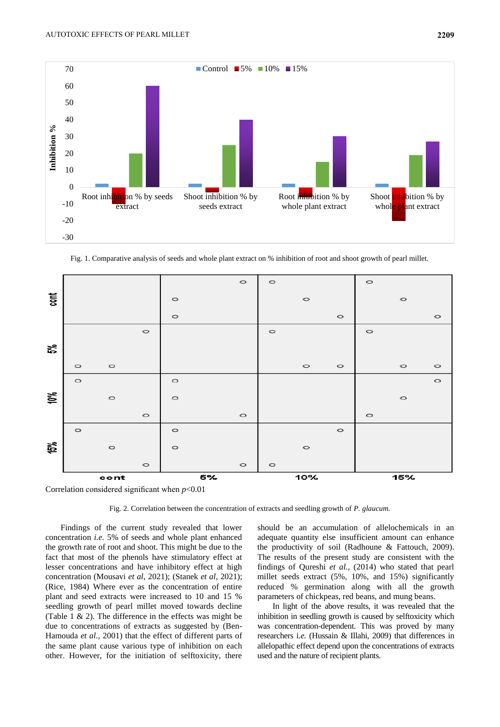

Fig. 1. Comparative analysis of seeds and whole plant extract on % inhibition of root and shoot growth of pearl millet.



Correlation considered significant when *p*<0.01

Fig. 2. Correlation between the concentration of extracts and seedling growth of *P. glaucum.*

Findings of the current study revealed that lower concentration *i.e.* 5% of seeds and whole plant enhanced the growth rate of root and shoot. This might be due to the fact that most of the phenols have stimulatory effect at lesser concentrations and have inhibitory effect at high concentration (Mousavi *et al*, 2021); (Stanek *et al*, 2021); (Rice, 1984) Where ever as the concentration of entire plant and seed extracts were increased to 10 and 15 % seedling growth of pearl millet moved towards decline (Table 1 & 2). The difference in the effects was might be due to concentrations of extracts as suggested by (Ben-Hamouda *et al*., 2001) that the effect of different parts of the same plant cause various type of inhibition on each other. However, for the initiation of selftoxicity, there

should be an accumulation of allelochemicals in an adequate quantity else insufficient amount can enhance the productivity of soil (Radhoune & Fattouch, 2009). The results of the present study are consistent with the findings of Qureshi *et al.*, (2014) who stated that pearl millet seeds extract (5%, 10%, and 15%) significantly reduced % germination along with all the growth parameters of chickpeas, red beans, and mung beans.

In light of the above results, it was revealed that the inhibition in seedling growth is caused by selftoxicity which was concentration-dependent. This was proved by many researchers i*.e.* (Hussain & Illahi, 2009) that differences in allelopathic effect depend upon the concentrations of extracts used and the nature of recipient plants.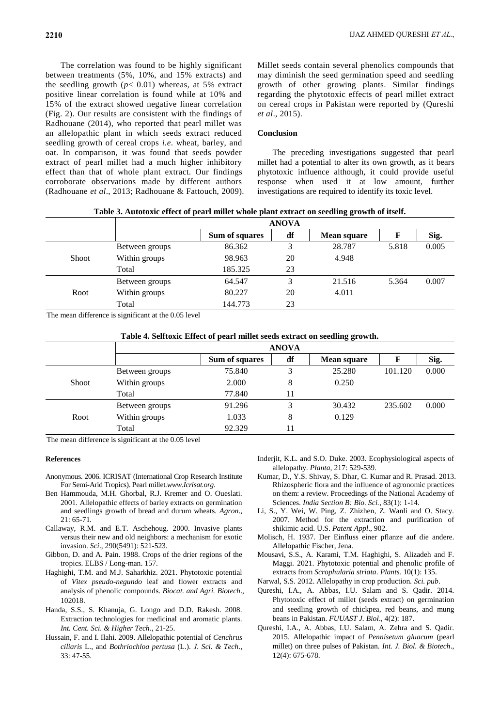The correlation was found to be highly significant between treatments (5%, 10%, and 15% extracts) and the seedling growth  $(p< 0.01)$  whereas, at 5% extract positive linear correlation is found while at 10% and 15% of the extract showed negative linear correlation (Fig. 2). Our results are consistent with the findings of Radhouane (2014), who reported that pearl millet was an allelopathic plant in which seeds extract reduced seedling growth of cereal crops *i.e*. wheat, barley, and oat. In comparison, it was found that seeds powder extract of pearl millet had a much higher inhibitory effect than that of whole plant extract. Our findings corroborate observations made by different authors (Radhouane *et al*., 2013; Radhouane & Fattouch, 2009). Millet seeds contain several phenolics compounds that may diminish the seed germination speed and seedling growth of other growing plants. Similar findings regarding the phytotoxic effects of pearl millet extract on cereal crops in Pakistan were reported by (Qureshi *et al*., 2015).

### **Conclusion**

The preceding investigations suggested that pearl millet had a potential to alter its own growth, as it bears phytotoxic influence although, it could provide useful response when used it at low amount, further investigations are required to identify its toxic level.

| Table 3. Autotoxic effect of pearl millet whole plant extract on seedling growth of itself. |  |  |
|---------------------------------------------------------------------------------------------|--|--|
|---------------------------------------------------------------------------------------------|--|--|

|              | <b>ANOVA</b>   |                |              |                    |       |       |
|--------------|----------------|----------------|--------------|--------------------|-------|-------|
|              |                | Sum of squares | df           | <b>Mean square</b> |       | Sig.  |
|              | Between groups | 86.362         | $\mathbf{z}$ | 28.787             | 5.818 | 0.005 |
| <b>Shoot</b> | Within groups  | 98.963         | 20           | 4.948              |       |       |
|              | Total          | 185.325        | 23           |                    |       |       |
|              | Between groups | 64.547         | 3            | 21.516             | 5.364 | 0.007 |
| Root         | Within groups  | 80.227         | 20           | 4.011              |       |       |
|              | Total          | 144.773        | 23           |                    |       |       |
|              |                |                |              |                    |       |       |

The mean difference is significant at the 0.05 level

|              | <b>ANOVA</b>   |                |    |                    |         |       |
|--------------|----------------|----------------|----|--------------------|---------|-------|
|              |                | Sum of squares | df | <b>Mean square</b> |         | Sig.  |
| <b>Shoot</b> | Between groups | 75.840         | 3  | 25.280             | 101.120 | 0.000 |
|              | Within groups  | 2.000          | 8  | 0.250              |         |       |
|              | Total          | 77.840         | 11 |                    |         |       |
| Root         | Between groups | 91.296         | 3  | 30.432             | 235.602 | 0.000 |
|              | Within groups  | 1.033          | 8  | 0.129              |         |       |
|              | Total          | 92.329         | 11 |                    |         |       |

The mean difference is significant at the 0.05 level

#### **References**

- Anonymous. 2006. ICRISAT (International Crop Research Institute For Semi-Arid Tropics). Pearl millet*.www.Icrisat.org*.
- Ben Hammouda, M.H. Ghorbal, R.J. Kremer and O. Oueslati. 2001. Allelopathic effects of barley extracts on germination and seedlings growth of bread and durum wheats. *Agron*., 21: 65-71*.*
- Callaway, R.M. and E.T. Aschehoug. 2000. Invasive plants versus their new and old neighbors: a mechanism for exotic invasion. *Sci*., 290(5491): 521-523.
- Gibbon, D. and A. Pain. 1988. Crops of the drier regions of the tropics. ELBS / Long-man. 157.
- Haghighi, T.M. and M.J. Saharkhiz. 2021. Phytotoxic potential of *Vitex pseudo-negundo* leaf and flower extracts and analysis of phenolic compounds. *Biocat. and Agri. Biotech*., 102018.
- Handa, S.S., S. Khanuja, G. Longo and D.D. Rakesh. 2008. Extraction technologies for medicinal and aromatic plants. *Int. Cent. Sci. & Higher Tech*., 21-25.
- Hussain, F. and I. Ilahi. 2009. Allelopathic potential of *Cenchrus ciliaris* L., and *Bothriochloa pertusa* (L.). *J. Sci. & Tech*., 33: 47-55.
- Inderjit, K.L. and S.O. Duke. 2003. Ecophysiological aspects of allelopathy. *Planta,* 217: 529-539.
- Kumar, D., Y.S. Shivay, S. Dhar, C. Kumar and R. Prasad. 2013. Rhizospheric flora and the influence of agronomic practices on them: a review. Proceedings of the National Academy of Sciences. *India Section B: Bio. Sci.*, 83(1): 1-14.
- Li, S., Y. Wei, W. Ping, Z. Zhizhen, Z. Wanli and O. Stacy. 2007. Method for the extraction and purification of shikimic acid. U.S. *Patent Appl*., 902.
- Molisch, H. 1937. Der Einfluss einer pflanze auf die andere. Allelopathic Fischer, Jena*.*
- Mousavi, S.S., A. Karami, T.M. Haghighi, S. Alizadeh and F. Maggi. 2021. Phytotoxic potential and phenolic profile of extracts from *Scrophularia striata*. *Plants.* 10(1): 135.
- Narwal, S.S. 2012. Allelopathy in crop production. *Sci. pub*.
- Qureshi, I.A., A. Abbas, I.U. Salam and S. Qadir. 2014. Phytotoxic effect of millet (seeds extract) on germination and seedling growth of chickpea, red beans, and mung beans in Pakistan. *FUUAST J. Biol*., 4(2): 187.
- Qureshi, I.A., A. Abbas, I.U. Salam, A. Zehra and S. Qadir. 2015. Allelopathic impact of *Pennisetum gluacum* (pearl millet) on three pulses of Pakistan. *Int. J. Biol. & Biotech*., 12(4): 675-678.